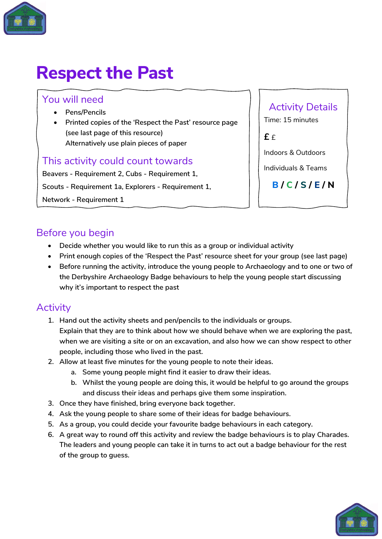

## **Respect the Past**

#### You will need

- **Pens/Pencils**
- **Printed copies of the 'Respect the Past' resource page (see last page of this resource) Alternatively use plain pieces of paper**

#### This activity could count towards

**Beavers - Requirement 2, Cubs - Requirement 1, Scouts - Requirement 1a, Explorers - Requirement 1, Network - Requirement 1**

#### Activity Details

Time: 15 minutes

**£** £

Indoors & Outdoors

Individuals & Teams

**B / C / S / E / N**

#### Before you begin

- **Decide whether you would like to run this as a group or individual activity**
- **Print enough copies of the 'Respect the Past' resource sheet for your group (see last page)**
- **Before running the activity, introduce the young people to Archaeology and to one or two of the Derbyshire Archaeology Badge behaviours to help the young people start discussing why it's important to respect the past**

#### **Activity**

- **1. Hand out the activity sheets and pen/pencils to the individuals or groups. Explain that they are to think about how we should behave when we are exploring the past, when we are visiting a site or on an excavation, and also how we can show respect to other people, including those who lived in the past.**
- **2. Allow at least five minutes for the young people to note their ideas.**
	- **a. Some young people might find it easier to draw their ideas.**
	- **b. Whilst the young people are doing this, it would be helpful to go around the groups and discuss their ideas and perhaps give them some inspiration.**
- **3. Once they have finished, bring everyone back together.**
- **4. Ask the young people to share some of their ideas for badge behaviours.**
- **5. As a group, you could decide your favourite badge behaviours in each category.**
- **6. A great way to round off this activity and review the badge behaviours is to play Charades. The leaders and young people can take it in turns to act out a badge behaviour for the rest of the group to guess.**

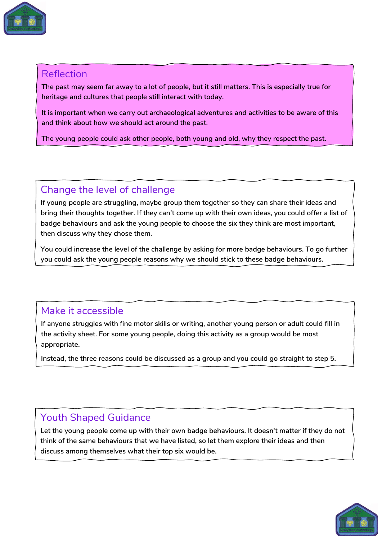

#### Reflection

**The past may seem far away to a lot of people, but it still matters. This is especially true for heritage and cultures that people still interact with today.**

**It is important when we carry out archaeological adventures and activities to be aware of this and think about how we should act around the past.**

**The young people could ask other people, both young and old, why they respect the past.**

#### Change the level of challenge

**If young people are struggling, maybe group them together so they can share their ideas and bring their thoughts together. If they can't come up with their own ideas, you could offer a list of badge behaviours and ask the young people to choose the six they think are most important, then discuss why they chose them.** 

**You could increase the level of the challenge by asking for more badge behaviours. To go further you could ask the young people reasons why we should stick to these badge behaviours.**

#### Make it accessible

**If anyone struggles with fine motor skills or writing, another young person or adult could fill in the activity sheet. For some young people, doing this activity as a group would be most appropriate.**

**Instead, the three reasons could be discussed as a group and you could go straight to step 5.**

#### Youth Shaped Guidance

**Let the young people come up with their own badge behaviours. It doesn't matter if they do not think of the same behaviours that we have listed, so let them explore their ideas and then discuss among themselves what their top six would be.** 

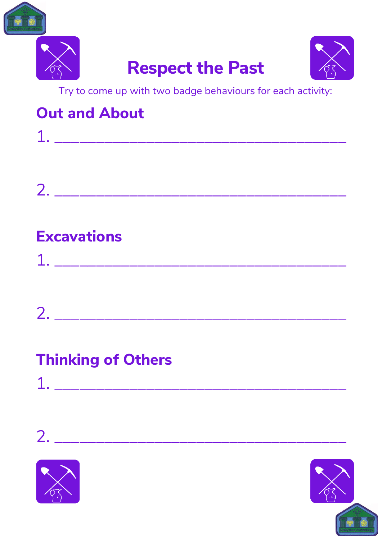



# **Respect the Past**



Try to come up with two badge behaviours for each activity:

### **Out and About**

| T  | and the company of the company of the company of | and the company of the company of | the contract of the contract of the |  |
|----|--------------------------------------------------|-----------------------------------|-------------------------------------|--|
|    |                                                  |                                   |                                     |  |
|    |                                                  |                                   |                                     |  |
|    |                                                  |                                   |                                     |  |
| 2. |                                                  |                                   |                                     |  |

### **Excavations**

| $\blacktriangleleft$ |  |       |                                              |                                                                                                                |                                                  |
|----------------------|--|-------|----------------------------------------------|----------------------------------------------------------------------------------------------------------------|--------------------------------------------------|
| ر کے                 |  | _____ | the control of the control of the control of | and the state of the state of the state of the state of the state of the state of the state of the state of th | the control of the control of the control of the |

| $\sqrt{2}$<br>$\mathcal{L}_{1}$ |  |  |  |  |  |                                              |
|---------------------------------|--|--|--|--|--|----------------------------------------------|
|                                 |  |  |  |  |  | the control of the control of the control of |

### **Thinking of Others**